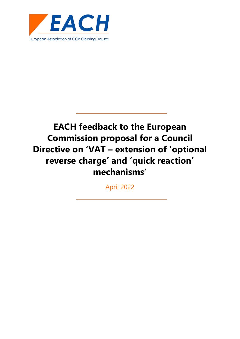

## **EACH feedback to the European Commission proposal for a Council Directive on 'VAT – extension of 'optional reverse charge' and 'quick reaction' mechanisms'**

April 2022